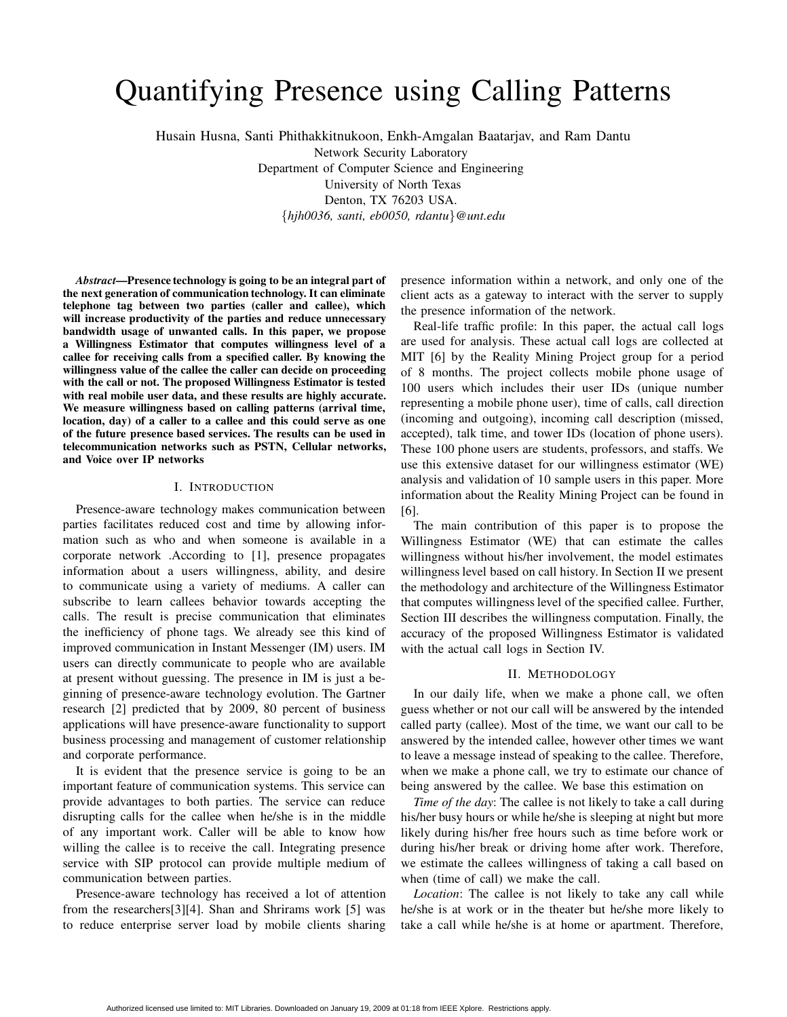# Quantifying Presence using Calling Patterns

Husain Husna, Santi Phithakkitnukoon, Enkh-Amgalan Baatarjav, and Ram Dantu

Network Security Laboratory Department of Computer Science and Engineering University of North Texas Denton, TX 76203 USA. {hjh0036, santi, eb0050, rdantu}@unt.edu

Abstract—Presence technology is going to be an integral part of the next generation of communication technology. It can eliminate telephone tag between two parties (caller and callee), which will increase productivity of the parties and reduce unnecessary bandwidth usage of unwanted calls. In this paper, we propose a Willingness Estimator that computes willingness level of a callee for receiving calls from a specified caller. By knowing the willingness value of the callee the caller can decide on proceeding with the call or not. The proposed Willingness Estimator is tested with real mobile user data, and these results are highly accurate. We measure willingness based on calling patterns (arrival time, location, day) of a caller to a callee and this could serve as one of the future presence based services. The results can be used in telecommunication networks such as PSTN, Cellular networks, and Voice over IP networks

### I. INTRODUCTION

Presence-aware technology makes communication between parties facilitates reduced cost and time by allowing information such as who and when someone is available in a corporate network .According to [1], presence propagates information about a users willingness, ability, and desire to communicate using a variety of mediums. A caller can subscribe to learn callees behavior towards accepting the calls. The result is precise communication that eliminates the inefficiency of phone tags. We already see this kind of improved communication in Instant Messenger (IM) users. IM users can directly communicate to people who are available at present without guessing. The presence in IM is just a beginning of presence-aware technology evolution. The Gartner research [2] predicted that by 2009, 80 percent of business applications will have presence-aware functionality to support business processing and management of customer relationship and corporate performance.

It is evident that the presence service is going to be an important feature of communication systems. This service can provide advantages to both parties. The service can reduce disrupting calls for the callee when he/she is in the middle of any important work. Caller will be able to know how willing the callee is to receive the call. Integrating presence service with SIP protocol can provide multiple medium of communication between parties.

Presence-aware technology has received a lot of attention from the researchers[3][4]. Shan and Shrirams work [5] was to reduce enterprise server load by mobile clients sharing

presence information within a network, and only one of the client acts as a gateway to interact with the server to supply the presence information of the network.

Real-life traffic profile: In this paper, the actual call logs are used for analysis. These actual call logs are collected at MIT [6] by the Reality Mining Project group for a period of 8 months. The project collects mobile phone usage of 100 users which includes their user IDs (unique number representing a mobile phone user), time of calls, call direction (incoming and outgoing), incoming call description (missed, accepted), talk time, and tower IDs (location of phone users). These 100 phone users are students, professors, and staffs. We use this extensive dataset for our willingness estimator (WE) analysis and validation of 10 sample users in this paper. More information about the Reality Mining Project can be found in [6].

The main contribution of this paper is to propose the Willingness Estimator (WE) that can estimate the calles willingness without his/her involvement, the model estimates willingness level based on call history. In Section II we present the methodology and architecture of the Willingness Estimator that computes willingness level of the specified callee. Further, Section III describes the willingness computation. Finally, the accuracy of the proposed Willingness Estimator is validated with the actual call logs in Section IV.

#### II. METHODOLOGY

In our daily life, when we make a phone call, we often guess whether or not our call will be answered by the intended called party (callee). Most of the time, we want our call to be answered by the intended callee, however other times we want to leave a message instead of speaking to the callee. Therefore, when we make a phone call, we try to estimate our chance of being answered by the callee. We base this estimation on

Time of the day: The callee is not likely to take a call during his/her busy hours or while he/she is sleeping at night but more likely during his/her free hours such as time before work or during his/her break or driving home after work. Therefore, we estimate the callees willingness of taking a call based on when (time of call) we make the call.

Location: The callee is not likely to take any call while he/she is at work or in the theater but he/she more likely to take a call while he/she is at home or apartment. Therefore,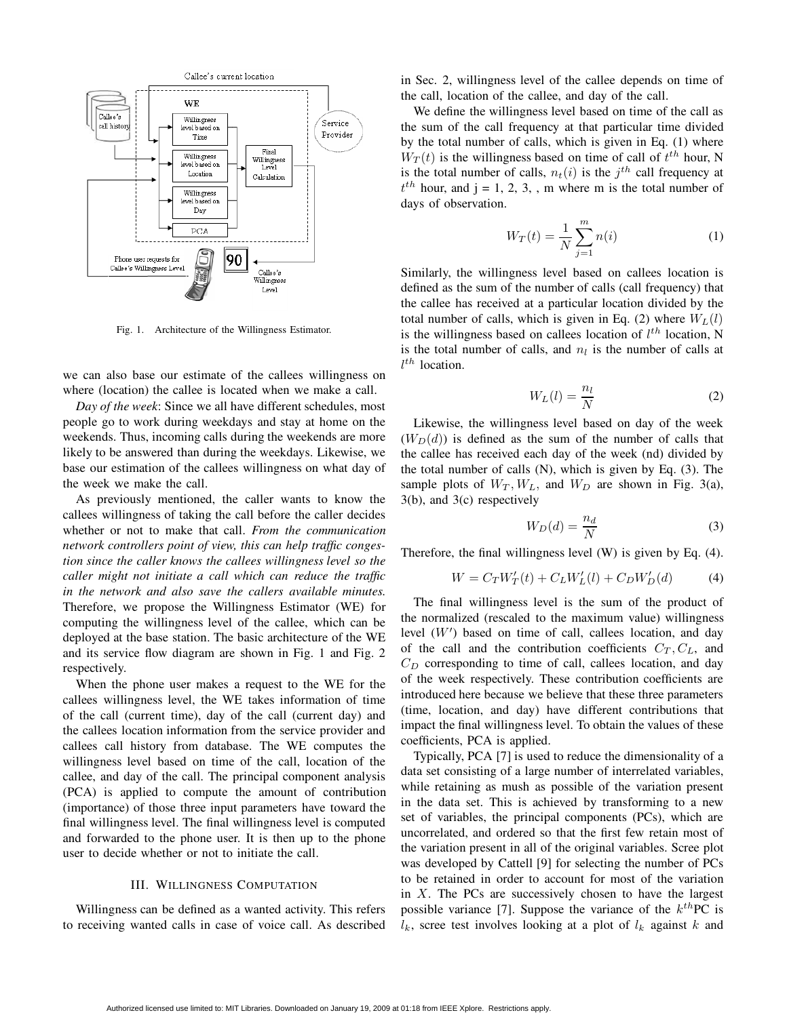

Fig. 1. Architecture of the Willingness Estimator.

we can also base our estimate of the callees willingness on where (location) the callee is located when we make a call.

Day of the week: Since we all have different schedules, most people go to work during weekdays and stay at home on the weekends. Thus, incoming calls during the weekends are more likely to be answered than during the weekdays. Likewise, we base our estimation of the callees willingness on what day of the week we make the call.

As previously mentioned, the caller wants to know the callees willingness of taking the call before the caller decides whether or not to make that call. From the communication network controllers point of view, this can help traffic congestion since the caller knows the callees willingness level so the caller might not initiate a call which can reduce the traffic in the network and also save the callers available minutes. Therefore, we propose the Willingness Estimator (WE) for computing the willingness level of the callee, which can be deployed at the base station. The basic architecture of the WE and its service flow diagram are shown in Fig. 1 and Fig. 2 respectively.

When the phone user makes a request to the WE for the callees willingness level, the WE takes information of time of the call (current time), day of the call (current day) and the callees location information from the service provider and callees call history from database. The WE computes the willingness level based on time of the call, location of the callee, and day of the call. The principal component analysis (PCA) is applied to compute the amount of contribution (importance) of those three input parameters have toward the final willingness level. The final willingness level is computed and forwarded to the phone user. It is then up to the phone user to decide whether or not to initiate the call.

# III. WILLINGNESS COMPUTATION

Willingness can be defined as a wanted activity. This refers to receiving wanted calls in case of voice call. As described in Sec. 2, willingness level of the callee depends on time of the call, location of the callee, and day of the call.

We define the willingness level based on time of the call as the sum of the call frequency at that particular time divided by the total number of calls, which is given in Eq. (1) where  $W_T(t)$  is the willingness based on time of call of  $t^{th}$  hour, N is the total number of calls,  $n_t(i)$  is the  $j^{th}$  call frequency at  $t^{th}$  hour, and j = 1, 2, 3, , m where m is the total number of days of observation.

$$
W_T(t) = \frac{1}{N} \sum_{j=1}^{m} n(i)
$$
 (1)

Similarly, the willingness level based on callees location is defined as the sum of the number of calls (call frequency) that the callee has received at a particular location divided by the total number of calls, which is given in Eq. (2) where  $W_L(l)$ is the willingness based on callees location of  $l^{th}$  location, N is the total number of calls, and  $n_l$  is the number of calls at  $l^{th}$  location.

$$
W_L(l) = \frac{n_l}{N} \tag{2}
$$

Likewise, the willingness level based on day of the week  $(W_D(d))$  is defined as the sum of the number of calls that the callee has received each day of the week (nd) divided by the total number of calls (N), which is given by Eq. (3). The sample plots of  $W_T$ ,  $W_L$ , and  $W_D$  are shown in Fig. 3(a), 3(b), and 3(c) respectively

$$
W_D(d) = \frac{n_d}{N} \tag{3}
$$

Therefore, the final willingness level (W) is given by Eq. (4).

$$
W = C_T W'_T(t) + C_L W'_L(l) + C_D W'_D(d)
$$
 (4)

The final willingness level is the sum of the product of the normalized (rescaled to the maximum value) willingness level  $(W')$  based on time of call, callees location, and day of the call and the contribution coefficients  $C_T$ ,  $C_L$ , and  $C_D$  corresponding to time of call, callees location, and day of the week respectively. These contribution coefficients are introduced here because we believe that these three parameters (time, location, and day) have different contributions that impact the final willingness level. To obtain the values of these coefficients, PCA is applied.

Typically, PCA [7] is used to reduce the dimensionality of a data set consisting of a large number of interrelated variables, while retaining as mush as possible of the variation present in the data set. This is achieved by transforming to a new set of variables, the principal components (PCs), which are uncorrelated, and ordered so that the first few retain most of the variation present in all of the original variables. Scree plot was developed by Cattell [9] for selecting the number of PCs to be retained in order to account for most of the variation in  $X$ . The PCs are successively chosen to have the largest possible variance [7]. Suppose the variance of the  $k^{th}$ PC is  $l_k$ , scree test involves looking at a plot of  $l_k$  against k and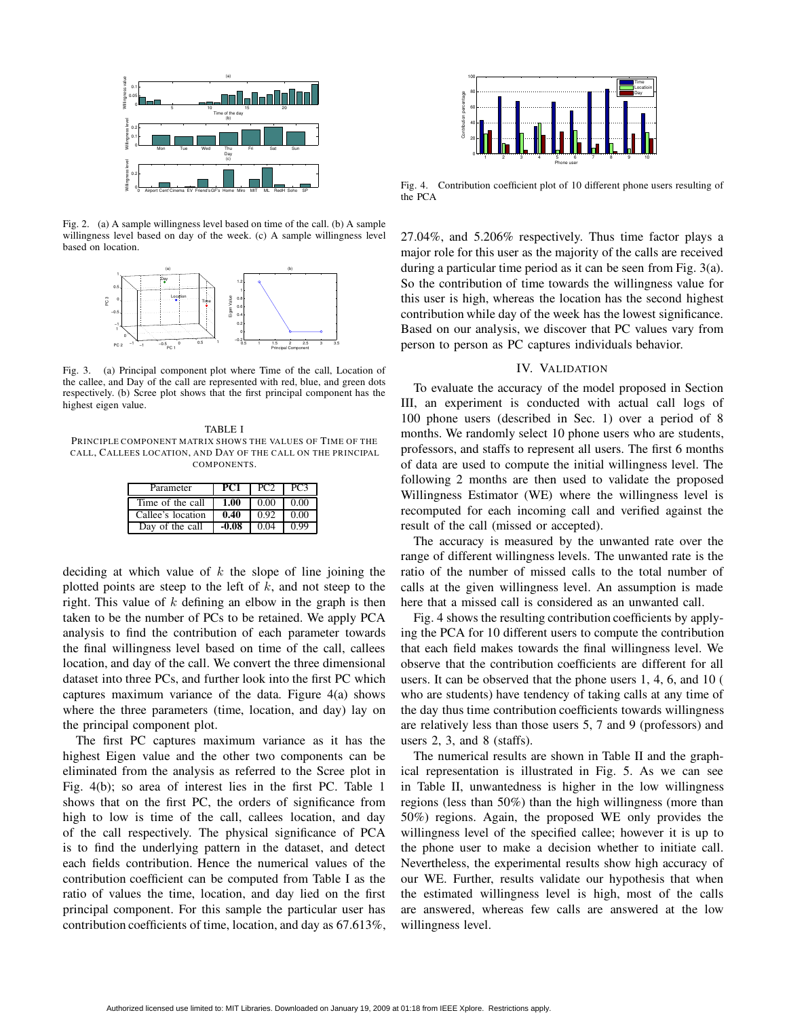

Fig. 2. (a) A sample willingness level based on time of the call. (b) A sample willingness level based on day of the week. (c) A sample willingness level based on location.



Fig. 3. (a) Principal component plot where Time of the call, Location of the callee, and Day of the call are represented with red, blue, and green dots respectively. (b) Scree plot shows that the first principal component has the highest eigen value.

TABLE I PRINCIPLE COMPONENT MATRIX SHOWS THE VALUES OF TIME OF THE CALL, CALLEES LOCATION, AND DAY OF THE CALL ON THE PRINCIPAL COMPONENTS.

| Parameter         | PC1  | PC2  | PC3  |
|-------------------|------|------|------|
| Time of the call  | 1.00 | 0.00 | 0.00 |
| Callee's location | 0.40 | 0.92 | 0.00 |
| Day of the call   |      |      |      |

deciding at which value of  $k$  the slope of line joining the plotted points are steep to the left of  $k$ , and not steep to the right. This value of  $k$  defining an elbow in the graph is then taken to be the number of PCs to be retained. We apply PCA analysis to find the contribution of each parameter towards the final willingness level based on time of the call, callees location, and day of the call. We convert the three dimensional dataset into three PCs, and further look into the first PC which captures maximum variance of the data. Figure 4(a) shows where the three parameters (time, location, and day) lay on the principal component plot.

The first PC captures maximum variance as it has the highest Eigen value and the other two components can be eliminated from the analysis as referred to the Scree plot in Fig. 4(b); so area of interest lies in the first PC. Table 1 shows that on the first PC, the orders of significance from high to low is time of the call, callees location, and day of the call respectively. The physical significance of PCA is to find the underlying pattern in the dataset, and detect each fields contribution. Hence the numerical values of the contribution coefficient can be computed from Table I as the ratio of values the time, location, and day lied on the first principal component. For this sample the particular user has contribution coefficients of time, location, and day as 67.613%,



Fig. 4. Contribution coefficient plot of 10 different phone users resulting of the PCA

27.04%, and 5.206% respectively. Thus time factor plays a major role for this user as the majority of the calls are received during a particular time period as it can be seen from Fig. 3(a). So the contribution of time towards the willingness value for this user is high, whereas the location has the second highest contribution while day of the week has the lowest significance. Based on our analysis, we discover that PC values vary from person to person as PC captures individuals behavior.

# IV. VALIDATION

To evaluate the accuracy of the model proposed in Section III, an experiment is conducted with actual call logs of 100 phone users (described in Sec. 1) over a period of 8 months. We randomly select 10 phone users who are students, professors, and staffs to represent all users. The first 6 months of data are used to compute the initial willingness level. The following 2 months are then used to validate the proposed Willingness Estimator (WE) where the willingness level is recomputed for each incoming call and verified against the result of the call (missed or accepted).

The accuracy is measured by the unwanted rate over the range of different willingness levels. The unwanted rate is the ratio of the number of missed calls to the total number of calls at the given willingness level. An assumption is made here that a missed call is considered as an unwanted call.

Fig. 4 shows the resulting contribution coefficients by applying the PCA for 10 different users to compute the contribution that each field makes towards the final willingness level. We observe that the contribution coefficients are different for all users. It can be observed that the phone users 1, 4, 6, and 10 ( who are students) have tendency of taking calls at any time of the day thus time contribution coefficients towards willingness are relatively less than those users 5, 7 and 9 (professors) and users 2, 3, and 8 (staffs).

The numerical results are shown in Table II and the graphical representation is illustrated in Fig. 5. As we can see in Table II, unwantedness is higher in the low willingness regions (less than 50%) than the high willingness (more than 50%) regions. Again, the proposed WE only provides the willingness level of the specified callee; however it is up to the phone user to make a decision whether to initiate call. Nevertheless, the experimental results show high accuracy of our WE. Further, results validate our hypothesis that when the estimated willingness level is high, most of the calls are answered, whereas few calls are answered at the low willingness level.